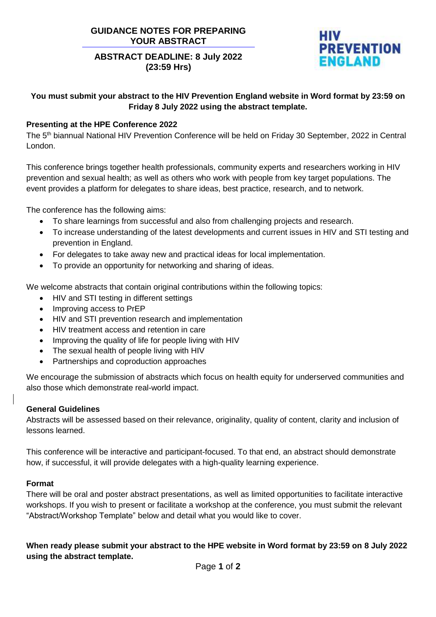## **GUIDANCE NOTES FOR PREPARING YOUR ABSTRACT**

# **ABSTRACT DEADLINE: 8 July 2022 (23:59 Hrs)**



## **You must submit your abstract to the HIV Prevention England website in Word format by 23:59 on Friday 8 July 2022 using the abstract template.**

## **Presenting at the HPE Conference 2022**

The 5<sup>th</sup> biannual National HIV Prevention Conference will be held on Friday 30 September, 2022 in Central London.

This conference brings together health professionals, community experts and researchers working in HIV prevention and sexual health; as well as others who work with people from key target populations. The event provides a platform for delegates to share ideas, best practice, research, and to network.

The conference has the following aims:

- To share learnings from successful and also from challenging projects and research.
- To increase understanding of the latest developments and current issues in HIV and STI testing and prevention in England.
- For delegates to take away new and practical ideas for local implementation.
- To provide an opportunity for networking and sharing of ideas.

We welcome abstracts that contain original contributions within the following topics:

- HIV and STI testing in different settings
- Improving access to PrEP
- HIV and STI prevention research and implementation
- HIV treatment access and retention in care
- Improving the quality of life for people living with HIV
- The sexual health of people living with HIV
- Partnerships and coproduction approaches

We encourage the submission of abstracts which focus on health equity for underserved communities and also those which demonstrate real-world impact.

## **General Guidelines**

Abstracts will be assessed based on their relevance, originality, quality of content, clarity and inclusion of lessons learned.

This conference will be interactive and participant-focused. To that end, an abstract should demonstrate how, if successful, it will provide delegates with a high-quality learning experience.

## **Format**

There will be oral and poster abstract presentations, as well as limited opportunities to facilitate interactive workshops. If you wish to present or facilitate a workshop at the conference, you must submit the relevant "Abstract/Workshop Template" below and detail what you would like to cover.

**When ready please submit your abstract to the HPE website in Word format by 23:59 on 8 July 2022 using the abstract template.**